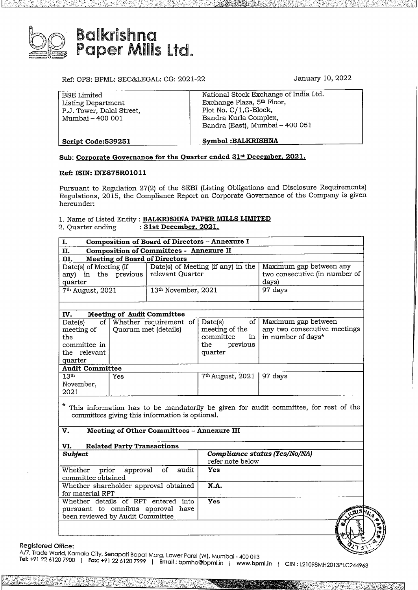

Ref: OPS: BPML: SEC&LEGAL: CG: 2021-22 January 10, 2022

| Script Code: 539251       | Symbol: BALKRISHNA                     |  |
|---------------------------|----------------------------------------|--|
|                           | Bandra (East), Mumbai - 400 051        |  |
| Mumbai - 400 001          | Bandra Kurla Complex,                  |  |
| P.J. Tower, Dalal Street, | Plot No. C/1, G-Block,                 |  |
| Listing Department        | Exchange Plaza, 5 <sup>th</sup> Floor, |  |
| BSE Limited               | National Stock Exchange of India Ltd.  |  |

# **Sub: Corporate Governance for the Quarter ended 31 st December, 2021.**

## **Ref: ISIN: INE875R01011**

Pursuant to Regulation 27(2) of the SEBI (Listing Obligations and Disclosure Requirements) Regulations, 2015, the Compliance Report on Corporate Governance of the Company is given hereunder:

# 1. Name of Listed Entity : **BALKRISHNA PAPER MILLS LIMITED**

2. Quarter ending : **31st December, 2021.**

| I.                                                        | Composition of Board of Directors - Annexure I         |                                                                   |  |  |  |  |  |  |  |  |
|-----------------------------------------------------------|--------------------------------------------------------|-------------------------------------------------------------------|--|--|--|--|--|--|--|--|
| <b>Composition of Committees - Annexure II</b><br>п.      |                                                        |                                                                   |  |  |  |  |  |  |  |  |
| <b>Meeting of Board of Directors</b><br>III.              |                                                        |                                                                   |  |  |  |  |  |  |  |  |
| Date(s) of Meeting (if<br>any) in the previous<br>quarter | Date(s) of Meeting (if any) in the<br>relevant Quarter | Maximum gap between any<br>two consecutive (in number of<br>days) |  |  |  |  |  |  |  |  |
| 7 <sup>th</sup> August, 2021                              | 13th November, 2021                                    | 97 days                                                           |  |  |  |  |  |  |  |  |
| <b>Meeting of Audit Committee</b><br>IV.                  |                                                        |                                                                   |  |  |  |  |  |  |  |  |
| Date(s)                                                   | of Whether requirement of Date(s)                      | of L Maximum gan between                                          |  |  |  |  |  |  |  |  |

| οf<br>Date(s)          | Whether requirement of | Date(s)<br>of                     | Maximum gap between                                      |
|------------------------|------------------------|-----------------------------------|----------------------------------------------------------|
| meeting of<br>the      | Quorum met (details)   | meeting of the<br>committee<br>in | any two consecutive meetings<br>$\ln$ in number of days* |
| committee in           |                        | previous<br>the                   |                                                          |
| the relevant           |                        | quarter                           |                                                          |
| quarter                |                        |                                   |                                                          |
| <b>Audit Committee</b> |                        |                                   |                                                          |
| 13 <sup>th</sup>       | Yes                    | 7 <sup>th</sup> August, 2021      | 97 days                                                  |
| November,              |                        |                                   |                                                          |
| 2021                   |                        |                                   |                                                          |

\* This information has to be mandatorily be given for audit committee, for rest of the committees giving this information is optional.

### **V.** Meeting of Other Committees - Annexure III

| <b>Related Party Transactions</b><br>VI.                                                                     |                                                   |       |
|--------------------------------------------------------------------------------------------------------------|---------------------------------------------------|-------|
| <b>Subject</b>                                                                                               | Compliance status (Yes/No/NA)<br>refer note below |       |
| Whether prior approval<br>audit<br>οf<br>committee obtained                                                  | Yes                                               |       |
| Whether shareholder approval obtained<br>for material RPT                                                    | N.A.                                              |       |
| Whether details of RPT entered into<br>pursuant to omnibus approval have<br>been reviewed by Audit Committee | Yes                                               | .515. |
|                                                                                                              |                                                   | m     |
| ffice:                                                                                                       |                                                   |       |



**CIN:** L21098MH2013PLC244963 **Fax:** +91 <sup>22</sup> 6120 *7999* <sup>I</sup> **Email :** bpmho@bpml.in <sup>I</sup> **www.bpml.in Tel:** +91 <sup>22</sup> <sup>6120</sup> <sup>7900</sup>**ffice:**<br>**Registered Office:**<br>A/7, Trade World, Kamala City, Senapati Bapat Marg, Lower Parel (W), Mumbai - 400 013<br>A/7, Trade World, Kamala City, Senapati Bapat Marg, Lower Parel (W), Mumbai - 400 013

**-- j»** *7a '*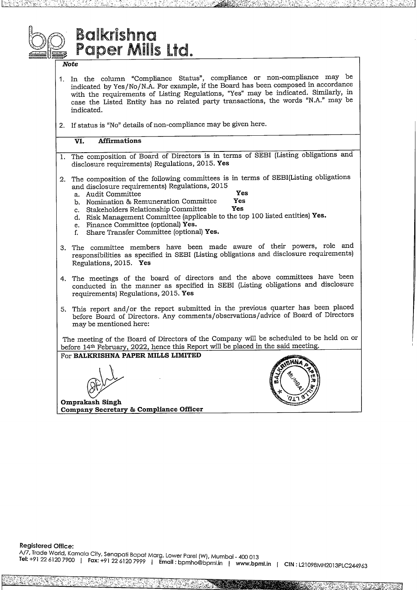# **Balkrishna** Paper Mills Ltd.

## **Note**

- 1. In the column "Compliance Status", compliance or non-compliance may be indicated by Yes/No/N.A. For example, if the Board has been composed in accordance with the requirements of Listing Regulations, "Yes" may be indicated. Similarly, in case the Listed Entity has no related party transactions, the words "N.A." may be indicated.
- 2. If status is "No" details of non-compliance may be given here.

#### $\overline{\mathbf{VI}}$ . **Affirmations**

- The composition of Board of Directors is in terms of SEBI (Listing obligations and 1. disclosure requirements) Regulations, 2015. Yes
- The composition of the following committees is in terms of SEBI(Listing obligations and disclosure requirements) Regulations, 2015 Yes
	- a. Audit Committee
	- b. Nomination & Remuneration Committee Yes Yes
	- c. Stakeholders Relationship Committee
	- d. Risk Management Committee (applicable to the top 100 listed entities) Yes.
	- e. Finance Committee (optional) Yes.
	- f. Share Transfer Committee (optional) Yes.
- 3. The committee members have been made aware of their powers, role and responsibilities as specified in SEBI (Listing obligations and disclosure requirements) Regulations, 2015. Yes
- 4. The meetings of the board of directors and the above committees have been conducted in the manner as specified in SEBI (Listing obligations and disclosure requirements) Regulations, 2015. Yes
- 5. This report and/or the report submitted in the previous quarter has been placed before Board of Directors. Any comments/observations/advice of Board of Directors may be mentioned here:

The meeting of the Board of Directors of the Company will be scheduled to be held on or before 14th February, 2022, hence this Report will be placed in the said meeting.

For BALKRISHNA PAPER MILLS LIMITED

Omprakash Singh Company Secretary & Compliance Officer

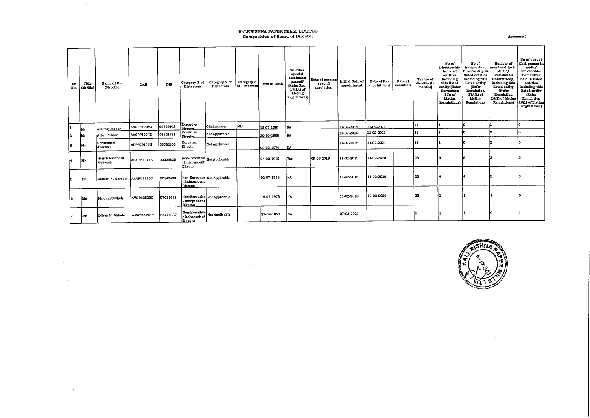# **BALKRISHNA PAPER MILLS LIMITED**<br>Composition of Board of Director

 $\sim 10^7$ 

 $\sim 10^7$  $\sim$ 

 $\sim$ 

Annexure I

 $\sim 10^7$ 

| Sr<br>No. | Title<br>(Mr/Ms) | Name of the<br>Director       | PAN        | DIN      | Category 1 of<br>Dirtectors    | Category 2 of<br>Dirtectors                    | Category 3 | Date of Birth | Whether<br>special<br>resolution<br>passed?<br>Refer Reg.<br>17(1A) of<br>Listing<br>Regulations] | Date of passing<br>special<br>resolution | <b>Initial Date of</b><br>appointment | Date of Re-<br>appointment | Date of<br>cessation | <b>Tenure of</b><br>director (in<br>months) | No of<br>Directorship<br>in listed<br>entities<br>including<br>this listed<br>entity (Refer<br>Regulation<br>17A of<br>Listing<br>Regulations) | No of<br>Independent<br>Directorship in<br>listed entities<br>including this<br>listed entity<br><b>IRefer</b><br>Regulation<br>17A(1) of<br>Listing<br>Regulations | Number of<br>memberships in<br>Audit/<br>Stakcholder<br>Committee(s)<br>including this<br>listed entity<br>(Refer<br>Regulation<br>26(1) of Listing<br>Regulations) | No of post of<br>Chairperson in<br>Audit/<br>Stakeholder<br>Committee<br>held in listed<br>entities<br>including this<br>listed entity<br>(Refer<br>Regulation<br>26(1) of Listing<br>Regulations) |
|-----------|------------------|-------------------------------|------------|----------|--------------------------------|------------------------------------------------|------------|---------------|---------------------------------------------------------------------------------------------------|------------------------------------------|---------------------------------------|----------------------------|----------------------|---------------------------------------------|------------------------------------------------------------------------------------------------------------------------------------------------|---------------------------------------------------------------------------------------------------------------------------------------------------------------------|---------------------------------------------------------------------------------------------------------------------------------------------------------------------|----------------------------------------------------------------------------------------------------------------------------------------------------------------------------------------------------|
|           | Mг               | Anurag Poddar                 | AACPP1926G | 00599143 | Executive<br>Director.         | Chairperson                                    | MD         | 13-07-1981    | NA                                                                                                |                                          | 11-02-2015                            | 11-02-2021                 |                      | 11                                          |                                                                                                                                                | l٥                                                                                                                                                                  |                                                                                                                                                                     |                                                                                                                                                                                                    |
| 2         | Mr               | <b>Ankit Poddar</b>           | AACPP1924E | 03521731 | Executive<br>Director          | Not Applicable                                 |            | 30-10-1988    | NA                                                                                                |                                          | 11 02 2015                            | 11-02-2021                 |                      | 11                                          |                                                                                                                                                | l٥                                                                                                                                                                  | n                                                                                                                                                                   |                                                                                                                                                                                                    |
| lз        | Mr               | Shrutisheel<br>Jhanwar        | ADPPJ9106N | 03582803 | Executive<br>Director          | Not Applicable                                 |            | 26-12-1974    | NA                                                                                                |                                          | 11-02-2015                            | 11-02-2021                 |                      | 111                                         |                                                                                                                                                |                                                                                                                                                                     |                                                                                                                                                                     |                                                                                                                                                                                                    |
|           | Mr               | Harish Narendra<br> Motiwalla | AFAPM1447A | 00029835 | Independent<br><b>Director</b> | Non-Executive Not Applicable                   |            | 24-03-1945    | Yes                                                                                               | 09-09-2019                               | 11-02-2015                            | 11-02-2020                 |                      | 23                                          | ١ń                                                                                                                                             | l6                                                                                                                                                                  |                                                                                                                                                                     |                                                                                                                                                                                                    |
| 'S        | Mr               | Rakesh N. Garodia             | AAAPG8736D | 00143438 | - Independent<br>Director      | Non-Executive Not Applicable                   |            | 02-07-1965    | ÌNA.                                                                                              |                                          | 11-02-2015                            | 11-02-2020                 |                      | 23                                          |                                                                                                                                                | l4                                                                                                                                                                  |                                                                                                                                                                     |                                                                                                                                                                                                    |
| ł6.       | Ms               | Meghna S.Shah                 | AVOPS2520C | 07081068 | - Independent  <br>Director    | Non-Executive Not Applicable                   |            | 14-06-1978    | NA.                                                                                               |                                          | 11-02-2015                            | 11-02-2020                 |                      | 23                                          |                                                                                                                                                |                                                                                                                                                                     |                                                                                                                                                                     |                                                                                                                                                                                                    |
| 17        | Mr               | Dileep H. Shinde              | AAWPS9273R | 00270687 | Director                       | Non-Executive<br> - Independent Not Applicable |            | 23-09-1950    | NA                                                                                                |                                          | 07-08-2021                            |                            |                      |                                             |                                                                                                                                                |                                                                                                                                                                     |                                                                                                                                                                     |                                                                                                                                                                                                    |

 $\sim 10^{-1}$ 



 $\sim$ 

 $\sim$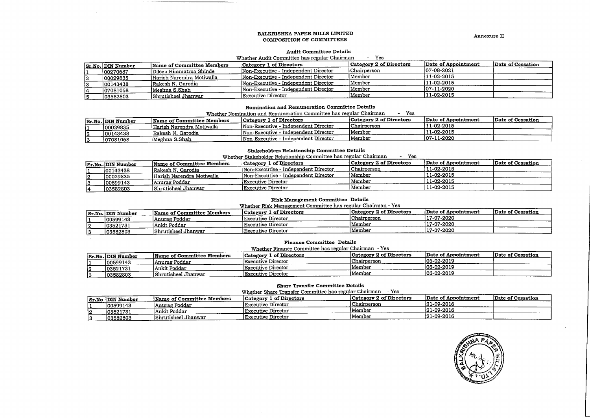#### BALKRISHNA PAPER MILLS LIMITED COMPOSITION OF COMMITTEES

Annexure II

#### **Audit Committee Details**

#### - Yes Whether Audit Committee has regular Chairman

|    | <b>Sr.No. DIN Number</b> | Name of Committee Members | Category 1 of Directors              | Category 2 of Directors | Date of Appointment | Date of Cessation |
|----|--------------------------|---------------------------|--------------------------------------|-------------------------|---------------------|-------------------|
|    | 100270687                | Dileep Himmatroa Shinde   | Non-Executive - Independent Director | Chairperson             | 107-08-2021         |                   |
| 12 | 00029835                 | Harish Narendra Motiwalla | Non-Executive - Independent Director | Member                  | 11-02-2015          |                   |
|    | 100143438                | Rakesh N. Garodia         | Non-Executive - Independent Director | Member                  | 11-02-2015          |                   |
|    | 07081068                 | Meghna S.Shah             | Non-Executive - Independent Director | Member                  | 107-11-2020         |                   |
|    | 103582803                | Shrutisheel Jhanwar       | Executive Director                   | Member                  | 111-02-2015         |                   |

#### Nomination and Remuneration Committee Details

Whether Nomination and Remuneration Committee has regular Chairman - Yes

|   |                          |                           | <u>WILLILI INIIIIKLIVII UMU INIMALIOILUUTI OVIIIIIILIOO INNO TOPAINI OIKAASTINII</u> | ---                     |                     |                   |
|---|--------------------------|---------------------------|--------------------------------------------------------------------------------------|-------------------------|---------------------|-------------------|
|   | <b>Sr.No. DIN Number</b> | Name of Committee Members | <b>Category 1 of Directors</b>                                                       | Category 2 of Directors | Date of Appointment | Date of Cessation |
|   | 00029835                 | Harish Narendra Motiwalla | INon-Executive - Independent Director                                                | Chairperson             | 11-02-2015          |                   |
|   | 00143438                 | Rakesh N. Garodia         | Non-Executive - Independent Director                                                 | Member                  | 111-02-2015         |                   |
| ∼ | 107081068                | Meghna S.Shah             | Non-Executive - Independent Director                                                 | Member                  | 107-11-2020         |                   |
|   |                          |                           |                                                                                      |                         |                     |                   |

#### **Stakeholders Relationship Committee Details**

| Whether Stakeholder Relationship Committee has regular Chairman |
|-----------------------------------------------------------------|
|-----------------------------------------------------------------|

|    | <b>Sr.No. DIN Number</b> | Name of Committee Members | Category 1 of Directors              | Category 2 of Directors | Date of Appointment | Date of Cessation |
|----|--------------------------|---------------------------|--------------------------------------|-------------------------|---------------------|-------------------|
|    | 00143438                 | Rakesh N. Garodia         | Non-Executive - Independent Director | Chairperson             | 11-02-2015          |                   |
| 12 | 100029835                | Harish Narendra Motiwalla | Non-Executive - Independent Director | Member                  | 111-02-2015         |                   |
|    | 100599143                | Anurag Poddar             | Executive Director                   | Member                  | 111-02-2015         |                   |
|    | 103582803                | Shrutisheel Jhanwar       | Executive Director                   | Member                  | 11-02-2015          |                   |

#### **Risk Management Committee Details**

Whether Risk Management Committee has regular Chairman - Yes

|    | <b>Sr.No. DIN Number</b> | Name of Committee Members | <b>Category 1 of Directors</b> | Category 2 of Directors | Date of Appointment | Date of Cessation |
|----|--------------------------|---------------------------|--------------------------------|-------------------------|---------------------|-------------------|
|    | 100599143                | Anurag Poddar             | Executive Director             | Chairperson             | 17-07-2020          |                   |
| ız | 103521731                | Ankit Poddar              | <b>Executive Director</b>      | Member                  | 117-07-2020         |                   |
|    | 103582803                | Shrutisheel Jhanwar       | Executive Director             | Member                  | 117-07-2020         |                   |

### **Finance Committee Details**

Whether Finance Committee has regular Chairman - Yes

|     |                          |                                  | whener rinance Committee has regular Chairman - res |                         |                     |                   |
|-----|--------------------------|----------------------------------|-----------------------------------------------------|-------------------------|---------------------|-------------------|
|     | <b>Sr.No. DIN Number</b> | <b>Name of Committee Members</b> | <b>Category 1 of Directors</b>                      | Category 2 of Directors | Date of Appointment | Date of Cessation |
|     | 100599143                | Anurag Poddar                    | Executive Director                                  | Chairperson             | 106-02-2019         |                   |
|     | 103521731                | lAnkit Poddar                    | Executive Director                                  | Member                  | $106 - 02 - 2019$   |                   |
| . נ | 03582803                 | Shrutisheel Jhanwar              | <b>Executive Director</b>                           | Member                  | 106-02-2019         |                   |
|     |                          |                                  |                                                     |                         |                     |                   |

#### **Share Transfer Committee Details**

Whether Share Transfer Committee has regular Chairman - Yes

| Sr.No | DIN Number | Name of Committee Members | Category 1 of Directors | <b>Category 2 of Directors</b> | Date of Appointment | Date of Cessation |
|-------|------------|---------------------------|-------------------------|--------------------------------|---------------------|-------------------|
|       | 100599143  | Anurag Poddar             | Executive Director      | Chairperson                    | $ 21-09-2016 $      |                   |
|       | 103521731  | Ankit Poddar              | Executive Director      | 1Member                        | 121-09-2016         |                   |
|       | 03582803   | Shrutisheel Jhanwar       | Executive Director      | Member                         | 121-09-2016         |                   |